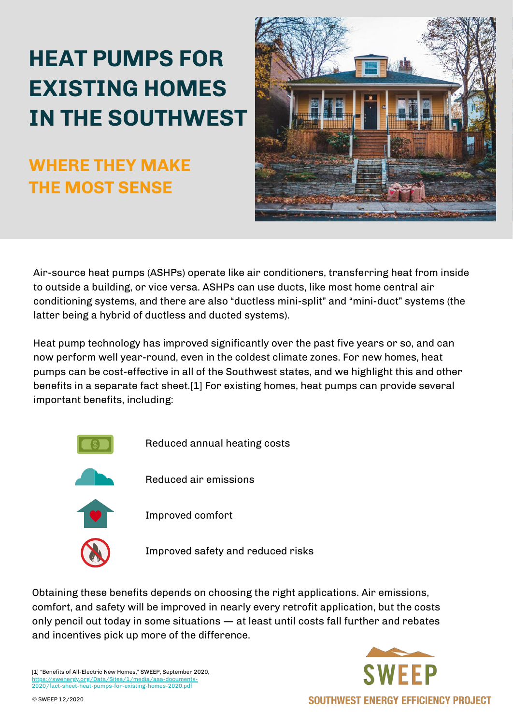# **HEAT PUMPS FOR EXISTING HOMES IN THE SOUTHWEST**

### **WHERE THEY MAKE THE MOST SENSE**



Air-source heat pumps (ASHPs) operate like air conditioners, transferring heat from inside to outside a building, or vice versa. ASHPs can use ducts, like most home central air conditioning systems, and there are also "ductless mini-split" and "mini-duct" systems (the latter being a hybrid of ductless and ducted systems).

Heat pump technology has improved significantly over the past five years or so, and can now perform well year-round, even in the coldest climate zones. For new homes, heat pumps can be cost-effective in all of the Southwest states, and we highlight this and other benefits in a separate fact sheet.[1] For existing homes, heat pumps can provide several important benefits, including:



Obtaining these benefits depends on choosing the right applications. Air emissions, comfort, and safety will be improved in nearly every retrofit application, but the costs only pencil out today in some situations — at least until costs fall further and rebates and incentives pick up more of the difference.

[1] "Benefits of All-Electric New Homes," SWEEP, September 2020, [https://swenergy.org/Data/Sites/1/media/aaa-documents-](https://swenergy.org/Data/Sites/1/media/aaa-documents-2020/fact-sheet-heat-pumps-for-existing-homes-2020.pdf)2020/fact-sheet-heat-pumps-for-existing-homes-2020.pdf